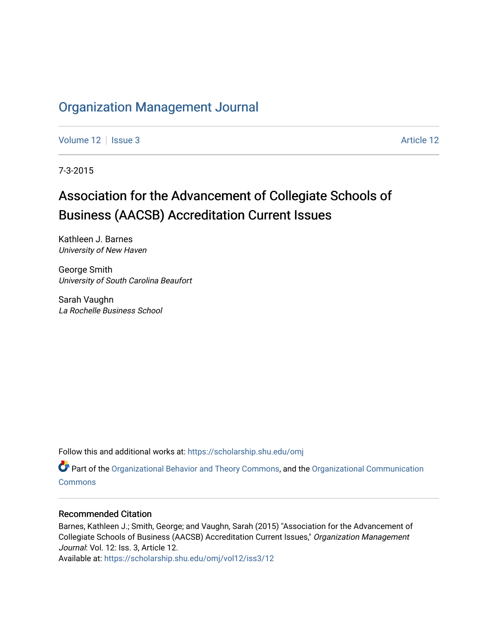## [Organization Management Journal](https://scholarship.shu.edu/omj)

[Volume 12](https://scholarship.shu.edu/omj/vol12) | [Issue 3](https://scholarship.shu.edu/omj/vol12/iss3) [Article 12](https://scholarship.shu.edu/omj/vol12/iss3/12) | Issue 3 Article 12

7-3-2015

# Association for the Advancement of Collegiate Schools of Business (AACSB) Accreditation Current Issues

Kathleen J. Barnes University of New Haven

George Smith University of South Carolina Beaufort

Sarah Vaughn La Rochelle Business School

Follow this and additional works at: [https://scholarship.shu.edu/omj](https://scholarship.shu.edu/omj?utm_source=scholarship.shu.edu%2Fomj%2Fvol12%2Fiss3%2F12&utm_medium=PDF&utm_campaign=PDFCoverPages) 

Part of the [Organizational Behavior and Theory Commons,](http://network.bepress.com/hgg/discipline/639?utm_source=scholarship.shu.edu%2Fomj%2Fvol12%2Fiss3%2F12&utm_medium=PDF&utm_campaign=PDFCoverPages) and the [Organizational Communication](http://network.bepress.com/hgg/discipline/335?utm_source=scholarship.shu.edu%2Fomj%2Fvol12%2Fiss3%2F12&utm_medium=PDF&utm_campaign=PDFCoverPages) [Commons](http://network.bepress.com/hgg/discipline/335?utm_source=scholarship.shu.edu%2Fomj%2Fvol12%2Fiss3%2F12&utm_medium=PDF&utm_campaign=PDFCoverPages)

#### Recommended Citation

Barnes, Kathleen J.; Smith, George; and Vaughn, Sarah (2015) "Association for the Advancement of Collegiate Schools of Business (AACSB) Accreditation Current Issues," Organization Management Journal: Vol. 12: Iss. 3, Article 12.

Available at: [https://scholarship.shu.edu/omj/vol12/iss3/12](https://scholarship.shu.edu/omj/vol12/iss3/12?utm_source=scholarship.shu.edu%2Fomj%2Fvol12%2Fiss3%2F12&utm_medium=PDF&utm_campaign=PDFCoverPages)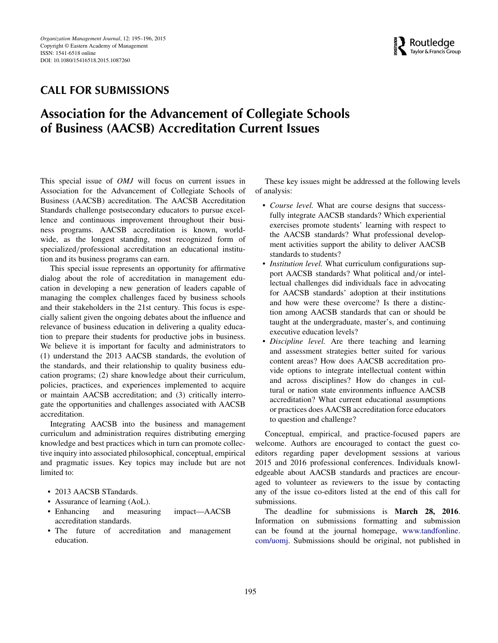

### **CALL FOR SUBMISSIONS**

## **Association for the Advancement of Collegiate Schools of Business (AACSB) Accreditation Current Issues**

This special issue of *OMJ* will focus on current issues in Association for the Advancement of Collegiate Schools of Business (AACSB) accreditation. The AACSB Accreditation Standards challenge postsecondary educators to pursue excellence and continuous improvement throughout their business programs. AACSB accreditation is known, worldwide, as the longest standing, most recognized form of specialized*/*professional accreditation an educational institution and its business programs can earn.

This special issue represents an opportunity for affirmative dialog about the role of accreditation in management education in developing a new generation of leaders capable of managing the complex challenges faced by business schools and their stakeholders in the 21st century. This focus is especially salient given the ongoing debates about the influence and relevance of business education in delivering a quality education to prepare their students for productive jobs in business. We believe it is important for faculty and administrators to (1) understand the 2013 AACSB standards, the evolution of the standards, and their relationship to quality business education programs; (2) share knowledge about their curriculum, policies, practices, and experiences implemented to acquire or maintain AACSB accreditation; and (3) critically interrogate the opportunities and challenges associated with AACSB accreditation.

Integrating AACSB into the business and management curriculum and administration requires distributing emerging knowledge and best practices which in turn can promote collective inquiry into associated philosophical, conceptual, empirical and pragmatic issues. Key topics may include but are not limited to:

- 2013 AACSB STandards.
- Assurance of learning (AoL).
- Enhancing and measuring impact—AACSB accreditation standards.
- The future of accreditation and management education.

These key issues might be addressed at the following levels of analysis:

- *Course level.* What are course designs that successfully integrate AACSB standards? Which experiential exercises promote students' learning with respect to the AACSB standards? What professional development activities support the ability to deliver AACSB standards to students?
- *Institution level.* What curriculum configurations support AACSB standards? What political and*/*or intellectual challenges did individuals face in advocating for AACSB standards' adoption at their institutions and how were these overcome? Is there a distinction among AACSB standards that can or should be taught at the undergraduate, master's, and continuing executive education levels?
- *Discipline level.* Are there teaching and learning and assessment strategies better suited for various content areas? How does AACSB accreditation provide options to integrate intellectual content within and across disciplines? How do changes in cultural or nation state environments influence AACSB accreditation? What current educational assumptions or practices does AACSB accreditation force educators to question and challenge?

Conceptual, empirical, and practice-focused papers are welcome. Authors are encouraged to contact the guest coeditors regarding paper development sessions at various 2015 and 2016 professional conferences. Individuals knowledgeable about AACSB standards and practices are encouraged to volunteer as reviewers to the issue by contacting any of the issue co-editors listed at the end of this call for submissions.

The deadline for submissions is **March 28, 2016**. Information on submissions formatting and submission can be found at the journal homepage, [www.tandfonline.](www.tandfonline.com/uomj) [com/uomj.](www.tandfonline.com/uomj) Submissions should be original, not published in